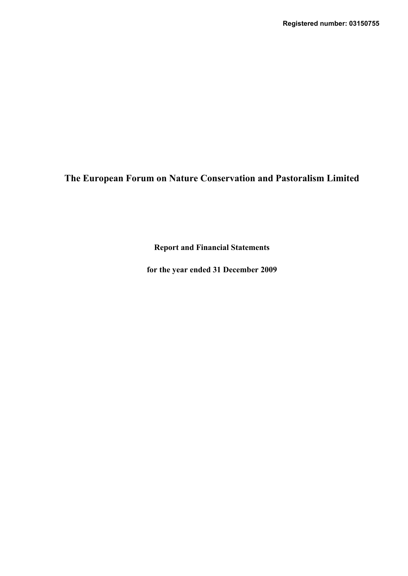# **The European Forum on Nature Conservation and Pastoralism Limited**

**Report and Financial Statements**

**for the year ended 31 December 2009**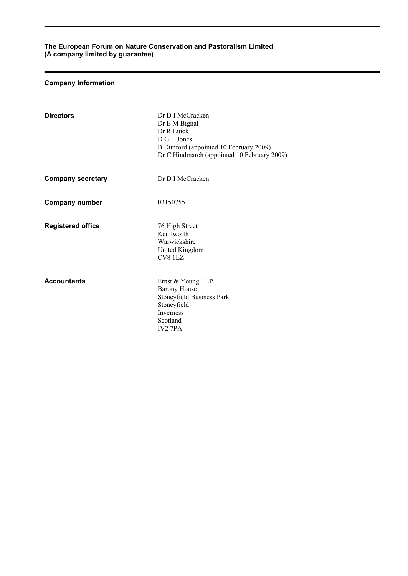## **Company Information**

| <b>Directors</b>         | Dr D I McCracken                            |
|--------------------------|---------------------------------------------|
|                          | Dr E M Bignal                               |
|                          | Dr R Luick<br>D G L Jones                   |
|                          | B Dunford (appointed 10 February 2009)      |
|                          | Dr C Hindmarch (appointed 10 February 2009) |
| <b>Company secretary</b> | Dr D I McCracken                            |
|                          |                                             |
| <b>Company number</b>    | 03150755                                    |
|                          |                                             |
| <b>Registered office</b> | 76 High Street                              |
|                          | Kenilworth<br>Warwickshire                  |
|                          | United Kingdom                              |
|                          | CV8 1LZ                                     |
| <b>Accountants</b>       | Ernst & Young LLP                           |
|                          | <b>Barony House</b>                         |
|                          | Stoneyfield Business Park                   |
|                          | Stoneyfield<br><b>Inverness</b>             |
|                          | Scotland                                    |
|                          | <b>IV2 7PA</b>                              |
|                          |                                             |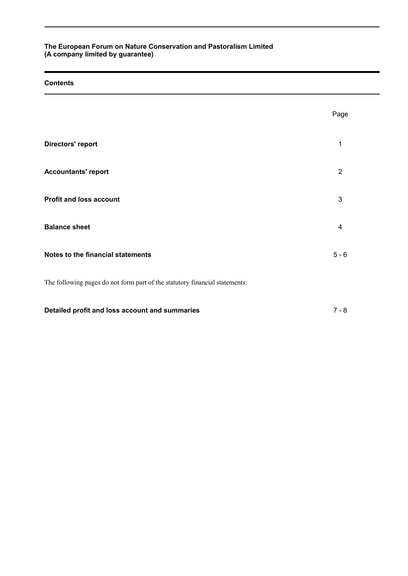#### **Contents**

|                                                                             | Page           |
|-----------------------------------------------------------------------------|----------------|
| Directors' report                                                           | 1              |
| <b>Accountants' report</b>                                                  | $\overline{2}$ |
| <b>Profit and loss account</b>                                              | 3              |
| <b>Balance sheet</b>                                                        | $\overline{4}$ |
| Notes to the financial statements                                           | $5 - 6$        |
| The following pages do not form part of the statutory financial statements: |                |
| Detailed profit and loss account and summaries                              | $7 - 8$        |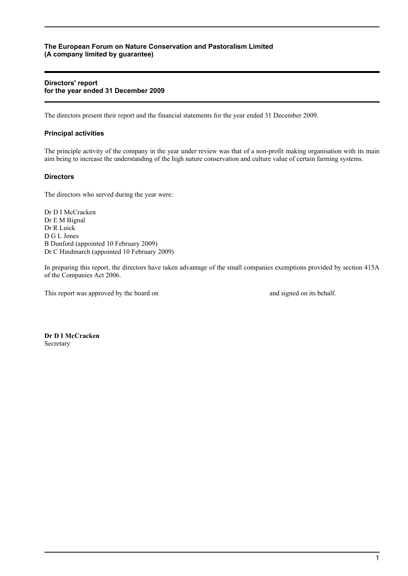#### **Directors' report for the year ended 31 December 2009**

The directors present their report and the financial statements for the year ended 31 December 2009.

#### **Principal activities**

The principle activity of the company in the year under review was that of a non-profit making organisation with its main aim being to increase the understanding of the high nature conservation and culture value of certain farming systems.

#### **Directors**

The directors who served during the year were:

Dr D I McCracken Dr E M Bignal Dr R Luick D G L Jones B Dunford (appointed 10 February 2009) Dr C Hindmarch (appointed 10 February 2009)

In preparing this report, the directors have taken advantage of the small companies exemptions provided by section 415A of the Companies Act 2006.

This report was approved by the board on and signed on and signed on its behalf.

**Dr D I McCracken** Secretary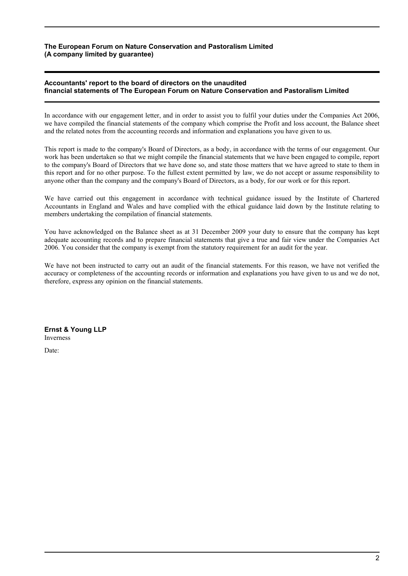#### **Accountants' report to the board of directors on the unaudited financial statements of The European Forum on Nature Conservation and Pastoralism Limited**

In accordance with our engagement letter, and in order to assist you to fulfil your duties under the Companies Act 2006, we have compiled the financial statements of the company which comprise the Profit and loss account, the Balance sheet and the related notes from the accounting records and information and explanations you have given to us.

This report is made to the company's Board of Directors, as a body, in accordance with the terms of our engagement. Our work has been undertaken so that we might compile the financial statements that we have been engaged to compile, report to the company's Board of Directors that we have done so, and state those matters that we have agreed to state to them in this report and for no other purpose. To the fullest extent permitted by law, we do not accept or assume responsibility to anyone other than the company and the company's Board of Directors, as a body, for our work or for this report.

We have carried out this engagement in accordance with technical guidance issued by the Institute of Chartered Accountants in England and Wales and have complied with the ethical guidance laid down by the Institute relating to members undertaking the compilation of financial statements.

You have acknowledged on the Balance sheet as at 31 December 2009 your duty to ensure that the company has kept adequate accounting records and to prepare financial statements that give a true and fair view under the Companies Act 2006. You consider that the company is exempt from the statutory requirement for an audit for the year.

We have not been instructed to carry out an audit of the financial statements. For this reason, we have not verified the accuracy or completeness of the accounting records or information and explanations you have given to us and we do not, therefore, express any opinion on the financial statements.

**Ernst & Young LLP** Inverness

Date: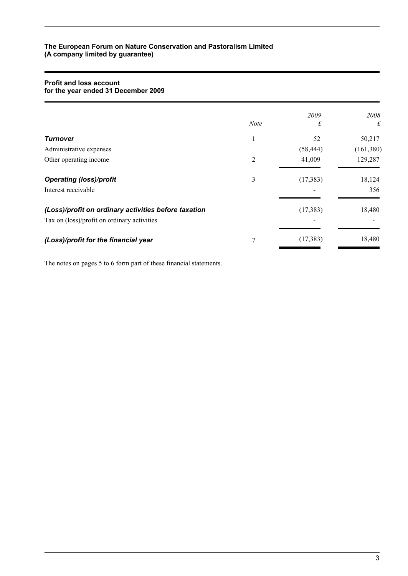#### **Profit and loss account for the year ended 31 December 2009**

|                                                      | <b>Note</b>    | 2009<br>£ | 2008<br>£  |
|------------------------------------------------------|----------------|-----------|------------|
|                                                      |                |           |            |
| Turnover                                             | 1              | 52        | 50,217     |
| Administrative expenses                              |                | (58, 444) | (161, 380) |
| Other operating income                               | $\overline{c}$ | 41,009    | 129,287    |
| <b>Operating (loss)/profit</b>                       | 3              | (17, 383) | 18,124     |
| Interest receivable                                  |                |           | 356        |
| (Loss)/profit on ordinary activities before taxation |                | (17, 383) | 18,480     |
| Tax on (loss)/profit on ordinary activities          |                |           |            |
| (Loss)/profit for the financial year                 | 7              | (17, 383) | 18,480     |
|                                                      |                |           |            |

The notes on pages 5 to 6 form part of these financial statements.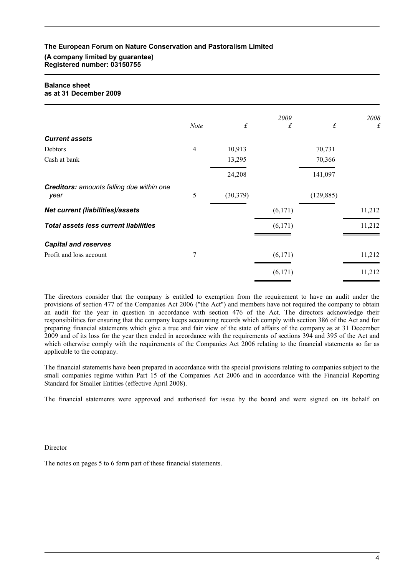#### **The European Forum on Nature Conservation and Pastoralism Limited**

#### **(A company limited by guarantee) Registered number: 03150755**

## **Balance sheet**

**as at 31 December 2009**

|                                                   | <b>Note</b> | $\pounds$ | 2009<br>£ | $\pounds$  | 2008<br>$\pounds$ |
|---------------------------------------------------|-------------|-----------|-----------|------------|-------------------|
| <b>Current assets</b>                             |             |           |           |            |                   |
| Debtors                                           | 4           | 10,913    |           | 70,731     |                   |
| Cash at bank                                      |             | 13,295    |           | 70,366     |                   |
|                                                   |             | 24,208    |           | 141,097    |                   |
| Creditors: amounts falling due within one<br>year | 5           | (30,379)  |           | (129, 885) |                   |
| <b>Net current (liabilities)/assets</b>           |             |           | (6,171)   |            | 11,212            |
| <b>Total assets less current liabilities</b>      |             |           | (6,171)   |            | 11,212            |
| <b>Capital and reserves</b>                       |             |           |           |            |                   |
| Profit and loss account                           | 7           |           | (6,171)   |            | 11,212            |
|                                                   |             |           | (6,171)   |            | 11,212            |

The directors consider that the company is entitled to exemption from the requirement to have an audit under the provisions of section 477 of the Companies Act 2006 ("the Act") and members have not required the company to obtain an audit for the year in question in accordance with section 476 of the Act. The directors acknowledge their responsibilities for ensuring that the company keeps accounting records which comply with section 386 of the Act and for preparing financial statements which give a true and fair view of the state of affairs of the company as at 31 December 2009 and of its loss for the year then ended in accordance with the requirements of sections 394 and 395 of the Act and which otherwise comply with the requirements of the Companies Act 2006 relating to the financial statements so far as applicable to the company.

The financial statements have been prepared in accordance with the special provisions relating to companies subject to the small companies regime within Part 15 of the Companies Act 2006 and in accordance with the Financial Reporting Standard for Smaller Entities (effective April 2008).

The financial statements were approved and authorised for issue by the board and were signed on its behalf on

#### Director

The notes on pages 5 to 6 form part of these financial statements.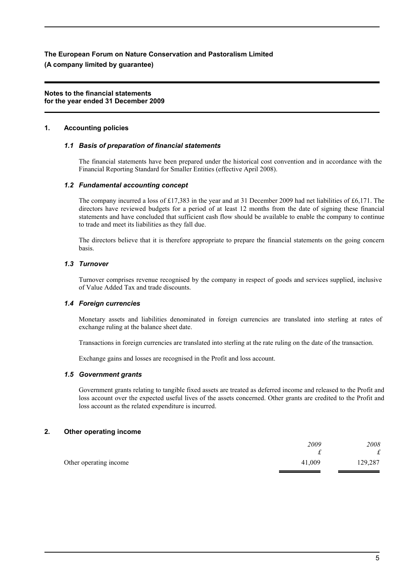#### **Notes to the financial statements for the year ended 31 December 2009**

#### **1. Accounting policies**

#### *1.1 Basis of preparation of financial statements*

The financial statements have been prepared under the historical cost convention and in accordance with the Financial Reporting Standard for Smaller Entities (effective April 2008).

#### *1.2 Fundamental accounting concept*

The company incurred a loss of £17,383 in the year and at 31 December 2009 had net liabilities of £6,171. The directors have reviewed budgets for a period of at least 12 months from the date of signing these financial statements and have concluded that sufficient cash flow should be available to enable the company to continue to trade and meet its liabilities as they fall due.

The directors believe that it is therefore appropriate to prepare the financial statements on the going concern basis.

#### *1.3 Turnover*

Turnover comprises revenue recognised by the company in respect of goods and services supplied, inclusive of Value Added Tax and trade discounts.

#### *1.4 Foreign currencies*

Monetary assets and liabilities denominated in foreign currencies are translated into sterling at rates of exchange ruling at the balance sheet date.

Transactions in foreign currencies are translated into sterling at the rate ruling on the date of the transaction.

Exchange gains and losses are recognised in the Profit and loss account.

#### *1.5 Government grants*

Government grants relating to tangible fixed assets are treated as deferred income and released to the Profit and loss account over the expected useful lives of the assets concerned. Other grants are credited to the Profit and loss account as the related expenditure is incurred.

#### **2. Other operating income**

|                        | 2009     | 2008       |
|------------------------|----------|------------|
|                        | $\sigma$ | $\sqrt{2}$ |
| Other operating income | 41.009   | 129,287    |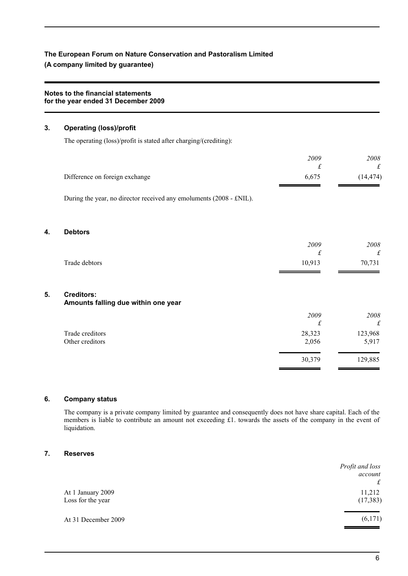#### **Notes to the financial statements for the year ended 31 December 2009**

#### **3. Operating (loss)/profit**

**4. Debtors**

**5. Creditors:**

The operating (loss)/profit is stated after charging/(crediting):

|                                                                     | 2009<br>£         | 2008<br>£         |
|---------------------------------------------------------------------|-------------------|-------------------|
| Difference on foreign exchange                                      | 6,675             | (14, 474)         |
| During the year, no director received any emoluments (2008 - £NIL). |                   |                   |
| <b>Debtors</b>                                                      |                   |                   |
|                                                                     | 2009<br>£         | 2008<br>$\pounds$ |
| Trade debtors                                                       | 10,913            | 70,731            |
| <b>Creditors:</b><br>Amounts falling due within one year            |                   |                   |
|                                                                     | 2009<br>$\pounds$ | 2008<br>$\pounds$ |
| Trade creditors<br>Other creditors                                  | 28,323<br>2,056   | 123,968<br>5,917  |
|                                                                     | 30,379            | 129,885           |

### **6. Company status**

The company is a private company limited by guarantee and consequently does not have share capital. Each of the members is liable to contribute an amount not exceeding £1. towards the assets of the company in the event of liquidation.

#### **7. Reserves**

|                                        | Profit and loss<br>account<br>£ |
|----------------------------------------|---------------------------------|
| At 1 January 2009<br>Loss for the year | 11,212<br>(17, 383)             |
| At 31 December 2009                    | (6,171)                         |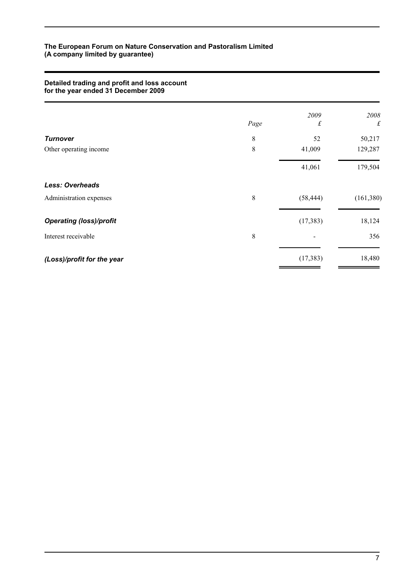#### **Detailed trading and profit and loss account for the year ended 31 December 2009**

|                                |      | 2009      | 2008       |
|--------------------------------|------|-----------|------------|
|                                | Page | £         | $\pounds$  |
| <b>Turnover</b>                | 8    | 52        | 50,217     |
| Other operating income         | 8    | 41,009    | 129,287    |
|                                |      | 41,061    | 179,504    |
| Less: Overheads                |      |           |            |
| Administration expenses        | 8    | (58, 444) | (161, 380) |
| <b>Operating (loss)/profit</b> |      | (17, 383) | 18,124     |
| Interest receivable            | 8    |           | 356        |
| (Loss)/profit for the year     |      | (17, 383) | 18,480     |